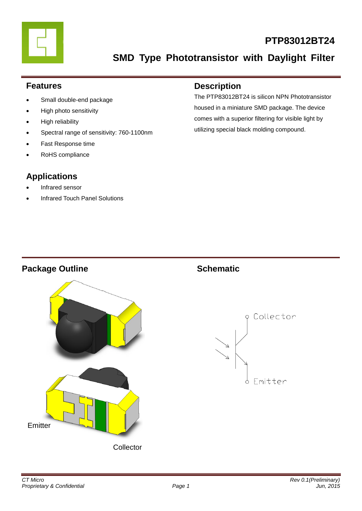

# **PTP83012BT24**

**SMD Type Phototransistor with Daylight Filter**

### **Features**

- Small double-end package
- High photo sensitivity
- High reliability
- Spectral range of sensitivity: 760-1100nm
- Fast Response time
- RoHS compliance

# **Applications**

- Infrared sensor
- Infrared Touch Panel Solutions

### **Description**

The PTP83012BT24 is silicon NPN Phototransistor housed in a miniature SMD package. The device comes with a superior filtering for visible light by utilizing special black molding compound.

### **Package Outline Schematic**



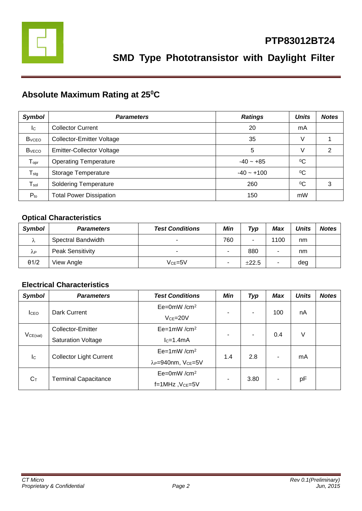

# **Absolute Maximum Rating at 25<sup>0</sup>C**

| <b>Symbol</b>                | <b>Parameters</b>                | <b>Ratings</b> | <b>Units</b> | <b>Notes</b> |
|------------------------------|----------------------------------|----------------|--------------|--------------|
| Ic                           | <b>Collector Current</b>         | 20             | mA           |              |
| <b>B</b> <sub>vCEO</sub>     | <b>Collector-Emitter Voltage</b> | 35             | V            |              |
| <b>B</b> <sub>vECO</sub>     | <b>Emitter-Collector Voltage</b> | 5              | V            | 2            |
| ${\mathsf T}_{\mathsf{opr}}$ | <b>Operating Temperature</b>     | $-40 - +85$    | $^{0}C$      |              |
| $T_{\text{stg}}$             | Storage Temperature              | $-40 - +100$   | $^{0}C$      |              |
| $\mathsf{T}_{\mathsf{sol}}$  | <b>Soldering Temperature</b>     | 260            | $\rm ^{0}C$  | 3            |
| $P_{to}$                     | <b>Total Power Dissipation</b>   | 150            | mW           |              |

### **Optical Characteristics**

| <b>Symbol</b> | <b>Parameters</b>       | <b>Test Conditions</b> | Min | Typ   | Max  | <b>Units</b> | <b>Notes</b> |
|---------------|-------------------------|------------------------|-----|-------|------|--------------|--------------|
| Λ             | Spectral Bandwidth      | -                      | 760 | -     | 1100 | nm           |              |
| λP            | <b>Peak Sensitivity</b> | -                      | -   | 880   |      | nm           |              |
| $\theta$ 1/2  | View Angle              | $Vce=5V$               | ۰   | ±22.5 | ۰    | deg          |              |

### **Electrical Characteristics**

| <b>Symbol</b>             | <b>Parameters</b>              | <b>Test Conditions</b>                     | Min | Typ            | <b>Max</b> | <b>Units</b> | <b>Notes</b> |
|---------------------------|--------------------------------|--------------------------------------------|-----|----------------|------------|--------------|--------------|
| <b>I</b> CEO              | Dark Current                   | $Ee=0mW/cm^2$                              |     |                | 100        | nA           |              |
|                           |                                | $Vce = 20V$                                | ۰   | ٠              |            |              |              |
| VCE(sat)                  | Collector-Emitter              | $Ee=1mW/cm^2$                              | ۰   | $\blacksquare$ | 0.4        | V            |              |
|                           | <b>Saturation Voltage</b>      | $lc=1.4mA$                                 |     |                |            |              |              |
| $\mathsf{I}^{\mathsf{C}}$ |                                | $Ee=1mW/cm^2$                              |     |                |            |              |              |
|                           | <b>Collector Light Current</b> | λ <sub>P</sub> =940nm, V <sub>CE</sub> =5V | 1.4 | 2.8            |            | mA           |              |
| $C_T$                     | $Ee=0mW/cm^2$                  |                                            |     |                |            |              |              |
|                           | <b>Terminal Capacitance</b>    | $f=1$ MHz, $Vce=5V$                        | -   | 3.80           | ۰          | рF           |              |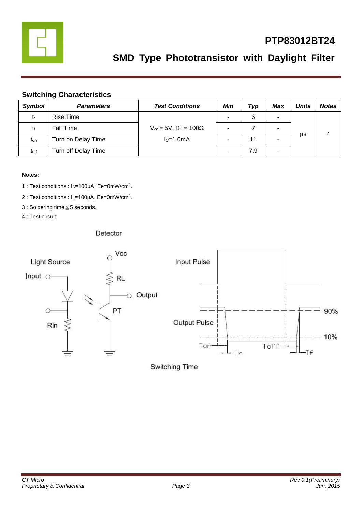

# **PTP83012BT24**

# **SMD Type Phototransistor with Daylight Filter**

#### **Switching Characteristics**

| <b>Symbol</b>    | <b>Parameters</b>   | <b>Test Conditions</b>                       | Min | Typ | <b>Max</b> | <b>Units</b> | <b>Notes</b> |
|------------------|---------------------|----------------------------------------------|-----|-----|------------|--------------|--------------|
| tr               | Rise Time           |                                              |     | 6   | -          |              |              |
| Īf               | <b>Fall Time</b>    | $V_{ce}$ = 5V, R <sub>L</sub> = 100 $\Omega$ |     |     | -          |              |              |
| t <sub>on</sub>  | Turn on Delay Time  | $lc=1.0mA$                                   |     | 11  |            | μs           |              |
| t <sub>off</sub> | Turn off Delay Time |                                              |     | 7.9 | ۰          |              |              |

#### **Notes:**

- 1 : Test conditions : Ic=100μA, Ee=0mW/cm<sup>2</sup>.
- 2 : Test conditions : I<sub>E</sub>=100μA, Ee=0mW/cm<sup>2</sup>.
- 3 : Soldering time≦5 seconds.
- 4 : Test circuit:

#### Detector



Switching Time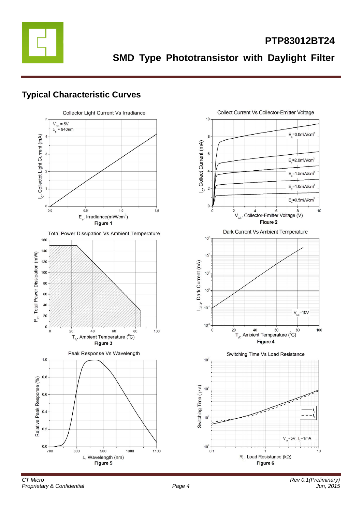

**SMD Type Phototransistor with Daylight Filter**

# **Typical Characteristic Curves**

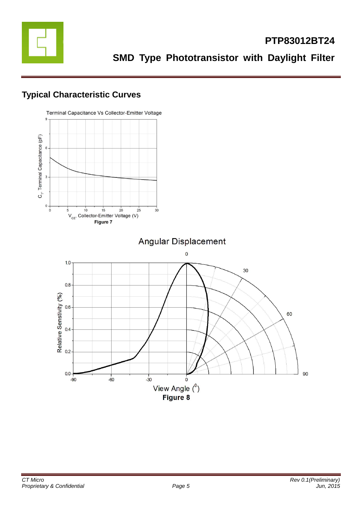

# **Typical Characteristic Curves**

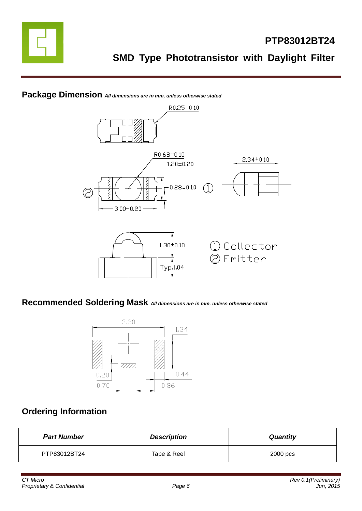

### **Package Dimension** *All dimensions are in mm, unless otherwise stated*



### **Recommended Soldering Mask** *All dimensions are in mm, unless otherwise stated*



## **Ordering Information**

| <b>Part Number</b> | <b>Description</b> | <b>Quantity</b> |
|--------------------|--------------------|-----------------|
| PTP83012BT24       | Tape & Reel        | 2000 pcs        |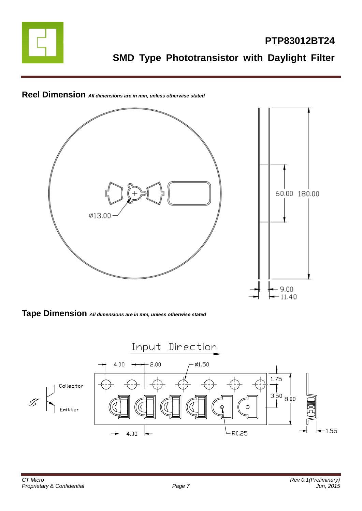



# **Reel Dimension** *All dimensions are in mm, unless otherwise stated*

**Tape Dimension** *All dimensions are in mm, unless otherwise stated*

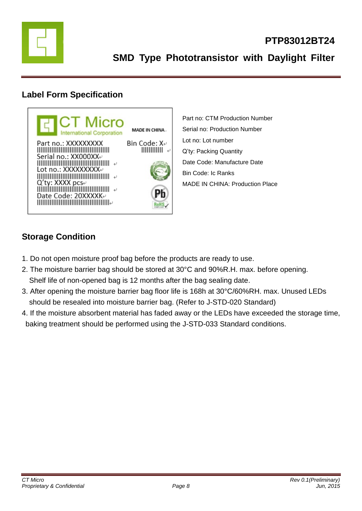

# **Label Form Specification**



Part no: CTM Production Number Serial no: Production Number Lot no: Lot number Q'ty: Packing Quantity Date Code: Manufacture Date Bin Code: Ic Ranks MADE IN CHINA: Production Place

# **Storage Condition**

- 1. Do not open moisture proof bag before the products are ready to use.
- 2. The moisture barrier bag should be stored at 30°C and 90%R.H. max. before opening. Shelf life of non-opened bag is 12 months after the bag sealing date.
- 3. After opening the moisture barrier bag floor life is 168h at 30°C/60%RH. max. Unused LEDs should be resealed into moisture barrier bag. (Refer to J-STD-020 Standard)
- 4. If the moisture absorbent material has faded away or the LEDs have exceeded the storage time, baking treatment should be performed using the J-STD-033 Standard conditions.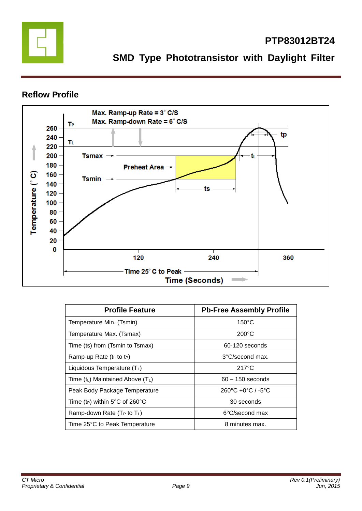

# **PTP83012BT24**

**SMD Type Phototransistor with Daylight Filter**

### **Reflow Profile**



| <b>Profile Feature</b>                     | <b>Pb-Free Assembly Profile</b>                   |
|--------------------------------------------|---------------------------------------------------|
| Temperature Min. (Tsmin)                   | $150^{\circ}$ C                                   |
| Temperature Max. (Tsmax)                   | $200^{\circ}$ C                                   |
| Time (ts) from (Tsmin to Tsmax)            | 60-120 seconds                                    |
| Ramp-up Rate $(tL$ to t <sub>P</sub> )     | 3°C/second max.                                   |
| Liquidous Temperature $(T_L)$              | $217^{\circ}$ C                                   |
| Time $(t_L)$ Maintained Above $(T_L)$      | $60 - 150$ seconds                                |
| Peak Body Package Temperature              | $260^{\circ}$ C +0 $^{\circ}$ C / -5 $^{\circ}$ C |
| Time (t <sub>P</sub> ) within 5°C of 260°C | 30 seconds                                        |
| Ramp-down Rate $(T_P$ to $T_L$ )           | 6°C/second max                                    |
| Time 25°C to Peak Temperature              | 8 minutes max.                                    |